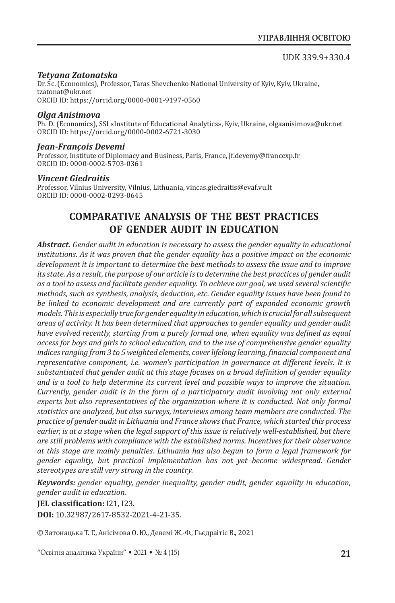## *Tetyana Zatonatska*

Dr. Sc. (Economics), Professor, Taras Shevchenko National University of Kyiv, Kyiv, Ukraine, tzatonat@ukr.net ORCID ID: https://orcid.org/0000-0001-9197-0560

## *Olga Anisimova*

Ph. D. (Economics), SSI «Institute of Educational Analytics», Kyiv, Ukraine, olgaanisimova@ukr.net ORCID ID: https://orcid.org/0000-0002-6721-3030

## *Jean-François Devemi*

Professor, Institute of Diplomacy and Business, Paris, France, jf.devemy@francexp.fr ORCID ID: 0000-0002-5703-0361

#### *Vincent Giedraitis*

Professor, Vilnius University, Vilnius, Lithuania, vincas.giedraitis@evaf.vu.lt ORCID ID: 0000-0002-0293-0645

## **COMPARATIVE ANALYSIS OF THE BEST PRACTICES OF GENDER AUDIT IN EDUCATION**

*Abstract. Gender audit in education is necessary to assess the gender equality in educational institutions. As it was proven that the gender equality has a positive impact on the economic development it is important to determine the best methods to assess the issue and to improve its state. As a result, the purpose of our article is to determine the best practices of gender audit as a tool to assess and facilitate gender equality. To achieve our goal, we used several scientific methods, such as synthesis, analysis, deduction, etc. Gender equality issues have been found to be linked to economic development and are currently part of expanded economic growth models. This is especially true for gender equality in education, which is crucial for all subsequent areas of activity. It has been determined that approaches to gender equality and gender audit have evolved recently, starting from a purely formal one, when equality was defined as equal access for boys and girls to school education, and to the use of comprehensive gender equality indices ranging from 3 to 5 weighted elements, cover lifelong learning, financial component and representative component, i.e. women's participation in governance at different levels. It is substantiated that gender audit at this stage focuses on a broad definition of gender equality and is a tool to help determine its current level and possible ways to improve the situation. Currently, gender audit is in the form of a participatory audit involving not only external experts but also representatives of the organization where it is conducted. Not only formal statistics are analyzed, but also surveys, interviews among team members are conducted. The practice of gender audit in Lithuania and France shows that France, which started this process earlier, is at a stage when the legal support of this issue is relatively well-established, but there are still problems with compliance with the established norms. Incentives for their observance at this stage are mainly penalties. Lithuania has also begun to form a legal framework for gender equality, but practical implementation has not yet become widespread. Gender stereotypes are still very strong in the country.*

*Keywords: gender equality, gender inequality, gender audit, gender equality in education, gender audit in education.*

**JEL classification:** I21, I23. **DOI:** 10.32987/2617-8532-2021-4-21-35.

© Затонацька Т. Г., Анісімова О. Ю., Девемі Ж.-Ф., Гьєдраітіс В., 2021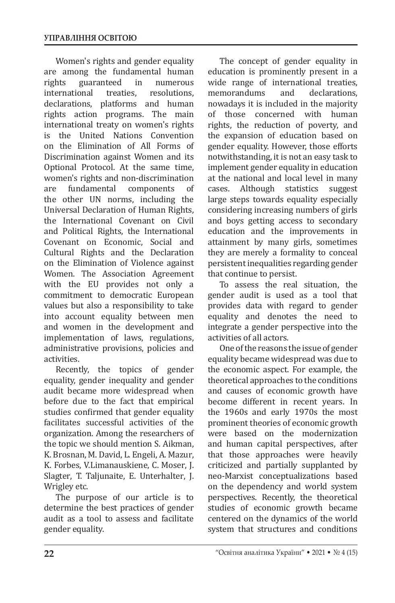Women's rights and gender equality are among the fundamental human<br>rights guaranteed in numerous guaranteed in numerous<br>
onal treaties, resolutions, international declarations, platforms and human rights action programs. The main international treaty on women's rights<br>is the United Nations Convention the United Nations Convention on the Elimination of All Forms of Discrimination against Women and its Optional Protocol. At the same time, women's rights and non-discrimination<br>are fundamental components of fundamental the other UN norms, including the Universal Declaration of Human Rights, the International Covenant on Civil and Political Rights, the International Covenant on Economic, Social and Cultural Rights and the Declaration on the Elimination of Violence against Women. The Association Agreement with the EU provides not only a commitment to democratic European values but also a responsibility to take into account equality between men and women in the development and implementation of laws, regulations, administrative provisions, policies and activities.

Recently, the topics of gender equality, gender inequality and gender audit became more widespread when before due to the fact that empirical studies confirmed that gender equality facilitates successful activities of the organization. Among the researchers of the topic we should mention S. Aikman, K. Brosnan, M. David, L. Engeli, A. Mazur, K. Forbes, V.Limanauskiene, C. Moser, J. Slagter, T. Taljunaite, E. Unterhalter, J. Wrigley etc.

The purpose of our article is to determine the best practices of gender audit as a tool to assess and facilitate gender equality.

The concept of gender equality in education is prominently present in a wide range of international treaties,<br>memorandums and declarations. memorandums nowadays it is included in the majority<br>of those concerned with human those concerned with rights, the reduction of poverty, and the expansion of education based on gender equality. However, those efforts notwithstanding, it is not an easy task to implement gender equality in education at the national and local level in many<br>cases. Although statistics suggest Although large steps towards equality especially considering increasing numbers of girls and boys getting access to secondary education and the improvements in attainment by many girls, sometimes they are merely a formality to conceal persistent inequalities regarding gender that continue to persist.

To assess the real situation, the gender audit is used as a tool that provides data with regard to gender equality and denotes the need to integrate a gender perspective into the activities of all actors.

One of the reasons the issue of gender equality became widespread was due to the economic aspect. For example, the theoretical approaches to the conditions and causes of economic growth have become different in recent years. In the 1960s and early 1970s the most prominent theories of economic growth were based on the modernization and human capital perspectives, after that those approaches were heavily criticized and partially supplanted by neo-Marxist conceptualizations based on the dependency and world system perspectives. Recently, the theoretical studies of economic growth became centered on the dynamics of the world system that structures and conditions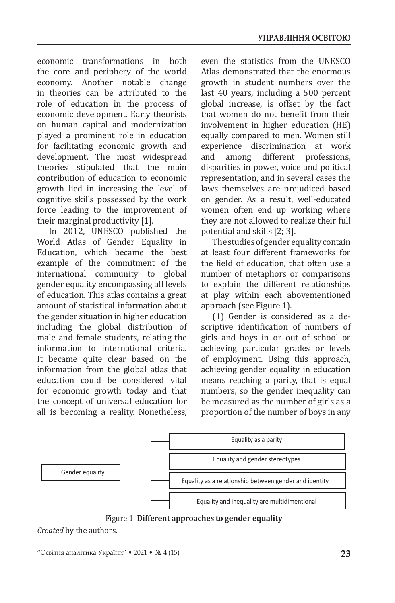economic transformations in both the core and periphery of the world economy. Another notable change in theories can be attributed to the role of education in the process of economic development. Early theorists on human capital and modernization played a prominent role in education for facilitating economic growth and development. The most widespread theories stipulated that the main contribution of education to economic growth lied in increasing the level of cognitive skills possessed by the work force leading to the improvement of their marginal productivity [1].

In 2012, UNESCO published the World Atlas of Gender Equality in Education, which became the best example of the commitment of the international community to global gender equality encompassing all levels of education. This atlas contains a great amount of statistical information about the gender situation in higher education including the global distribution of male and female students, relating the information to international criteria. It became quite clear based on the information from the global atlas that education could be considered vital for economic growth today and that the concept of universal education for all is becoming a reality. Nonetheless, even the statistics from the UNESCO Atlas demonstrated that the enormous growth in student numbers over the last 40 years, including a 500 percent global increase, is offset by the fact that women do not benefit from their involvement in higher education (HE) equally compared to men. Women still experience discrimination at work<br>and among different professions. different professions, disparities in power, voice and political representation, and in several cases the laws themselves are prejudiced based on gender. As a result, well-educated women often end up working where they are not allowed to realize their full potential and skills [2; 3].

The studies of gender equality contain at least four different frameworks for the field of education, that often use a number of metaphors or comparisons to explain the different relationships at play within each abovementioned approach (see Figure 1).

(1) Gender is considered as a descriptive identification of numbers of girls and boys in or out of school or achieving particular grades or levels of employment. Using this approach, achieving gender equality in education means reaching a parity, that is equal numbers, so the gender inequality can be measured as the number of girls as a proportion of the number of boys in any



Figure 1. **Different approaches to gender equality**

*Created* by the authors.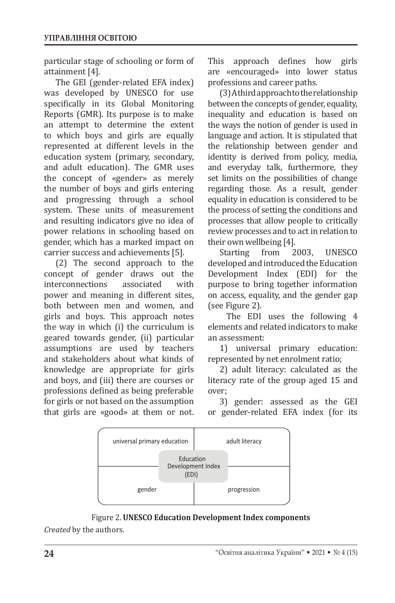particular stage of schooling or form of attainment [4].

The GEI (gender-related EFA index) was developed by UNESCO for use specifically in its Global Monitoring Reports (GMR). Its purpose is to make an attempt to determine the extent to which boys and girls are equally represented at different levels in the education system (primary, secondary, and adult education). The GMR uses the concept of «gender» as merely the number of boys and girls entering and progressing through a school system. These units of measurement and resulting indicators give no idea of power relations in schooling based on gender, which has a marked impact on carrier success and achievements [5].

(2) The second approach to the concept of gender draws out the<br>interconnections associated with interconnections power and meaning in different sites, both between men and women, and girls and boys. This approach notes the way in which (i) the curriculum is geared towards gender, (ii) particular assumptions are used by teachers and stakeholders about what kinds of knowledge are appropriate for girls and boys, and (iii) there are courses or professions defined as being preferable for girls or not based on the assumption that girls are «good» at them or not. This approach defines how girls are «encouraged» into lower status professions and career paths.

(3) A third approach to the relationship between the concepts of gender, equality, inequality and education is based on the ways the notion of gender is used in language and action. It is stipulated that the relationship between gender and identity is derived from policy, media, and everyday talk, furthermore, they set limits on the possibilities of change regarding those. As a result, gender equality in education is considered to be the process of setting the conditions and processes that allow people to critically review processes and to act in relation to their own wellbeing [4].<br>Starting from 2003.

Starting from 2003, UNESCO developed and introduced the Education Development Index (EDI) for the purpose to bring together information on access, equality, and the gender gap (see Figure 2).

 The EDI uses the following 4 elements and related indicators to make an assessment:

1) universal primary education: represented by net enrolment ratio;

2) adult literacy: calculated as the literacy rate of the group aged 15 and over;

3) gender: assessed as the GEI or gender-related EFA index (for its



Figure 2. **UNESCO Education Development Index components**

*Created* by the authors.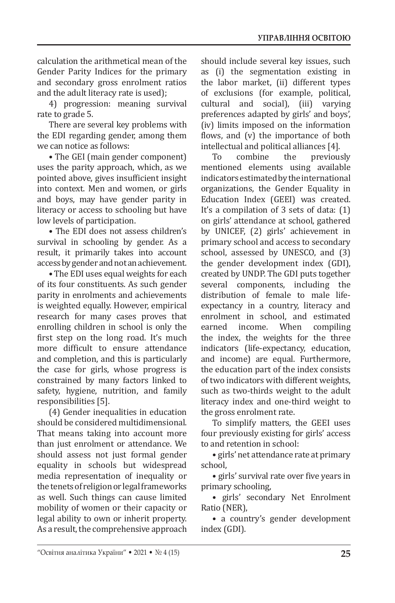calculation the arithmetical mean of the Gender Parity Indices for the primary and secondary gross enrolment ratios and the adult literacy rate is used);

4) progression: meaning survival rate to grade 5.

There are several key problems with the EDI regarding gender, among them we can notice as follows:

• The GEI (main gender component) uses the parity approach, which, as we pointed above, gives insufficient insight into context. Men and women, or girls and boys, may have gender parity in literacy or access to schooling but have low levels of participation.

• The EDI does not assess children's survival in schooling by gender. As a result, it primarily takes into account access by gender and not an achievement.

• The EDI uses equal weights for each of its four constituents. As such gender parity in enrolments and achievements is weighted equally. However, empirical research for many cases proves that enrolling children in school is only the first step on the long road. It's much more difficult to ensure attendance and completion, and this is particularly the case for girls, whose progress is constrained by many factors linked to safety, hygiene, nutrition, and family responsibilities [5].

(4) Gender inequalities in education should be considered multidimensional. That means taking into account more than just enrolment or attendance. We should assess not just formal gender equality in schools but widespread media representation of inequality or the tenets of religion or legal frameworks as well. Such things can cause limited mobility of women or their capacity or legal ability to own or inherit property. As a result, the comprehensive approach should include several key issues, such as (i) the segmentation existing in the labor market, (ii) different types of exclusions (for example, political, cultural and social), (iii) varying preferences adapted by girls' and boys', (iv) limits imposed on the information flows, and (v) the importance of both intellectual and political alliances [4].

previously mentioned elements using available indicators estimated by the international organizations, the Gender Equality in Education Index (GEEI) was created. It's a compilation of 3 sets of data: (1) on girls' attendance at school, gathered by UNICEF, (2) girls' achievement in primary school and access to secondary school, assessed by UNESCO, and (3) the gender development index (GDI), created by UNDP. The GDI puts together several components, including the distribution of female to male lifeexpectancy in a country, literacy and enrolment in school, and estimated<br>earned income. When compiling compiling the index, the weights for the three indicators (life-expectancy, education, and income) are equal. Furthermore, the education part of the index consists of two indicators with different weights, such as two-thirds weight to the adult literacy index and one-third weight to the gross enrolment rate.

To simplify matters, the GEEI uses four previously existing for girls' access to and retention in school:

• girls' net attendance rate at primary school,

• girls' survival rate over five years in primary schooling,

• girls' secondary Net Enrolment Ratio (NER),

• a country's gender development index (GDI).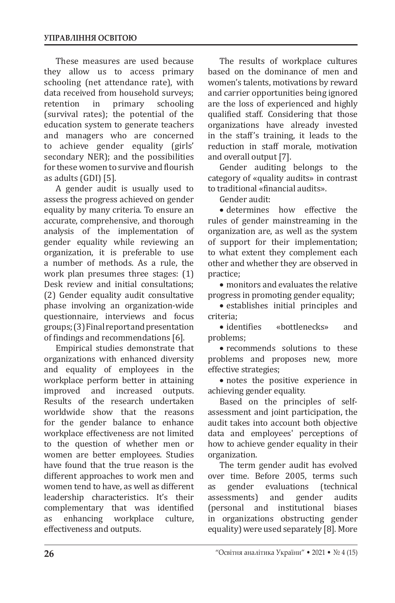These measures are used because they allow us to access primary schooling (net attendance rate), with data received from household surveys;<br>retention in primary schooling retention in primary schooling (survival rates); the potential of the education system to generate teachers and managers who are concerned to achieve gender equality (girls' secondary NER); and the possibilities for these women to survive and flourish as adults (GDI) [5].

A gender audit is usually used to assess the progress achieved on gender equality by many criteria. To ensure an accurate, comprehensive, and thorough analysis of the implementation of gender equality while reviewing an organization, it is preferable to use a number of methods. As a rule, the work plan presumes three stages: (1) Desk review and initial consultations; (2) Gender equality audit consultative phase involving an organization-wide questionnaire, interviews and focus groups; (3) Final report and presentation of findings and recommendations [6].

Empirical studies demonstrate that organizations with enhanced diversity and equality of employees in the workplace perform better in attaining<br>improved and increased outputs. and increased Results of the research undertaken worldwide show that the reasons for the gender balance to enhance workplace effectiveness are not limited to the question of whether men or women are better employees. Studies have found that the true reason is the different approaches to work men and women tend to have, as well as different leadership characteristics. It's their complementary that was identified<br>as enhancing workplace culture, workplace effectiveness and outputs.

The results of workplace cultures based on the dominance of men and women's talents, motivations by reward and carrier opportunities being ignored are the loss of experienced and highly qualified staff. Considering that those organizations have already invested in the staff's training, it leads to the reduction in staff morale, motivation and overall output [7].

Gender auditing belongs to the category of «quality audits» in contrast to traditional «financial audits».

Gender audit:

• determines how effective the rules of gender mainstreaming in the organization are, as well as the system of support for their implementation; to what extent they complement each other and whether they are observed in practice;

• monitors and evaluates the relative progress in promoting gender equality;

• establishes initial principles and

criteria; «bottlenecks» and problems;

• recommends solutions to these problems and proposes new, more effective strategies;

• notes the positive experience in achieving gender equality.

Based on the principles of selfassessment and joint participation, the audit takes into account both objective data and employees' perceptions of how to achieve gender equality in their organization.

The term gender audit has evolved over time. Before 2005, terms such<br>as gender evaluations (technical evaluations (technical<br>and gender audits assessments) and gender audits<br>(personal and institutional biases (personal and institutional in organizations obstructing gender equality) were used separately [8]. More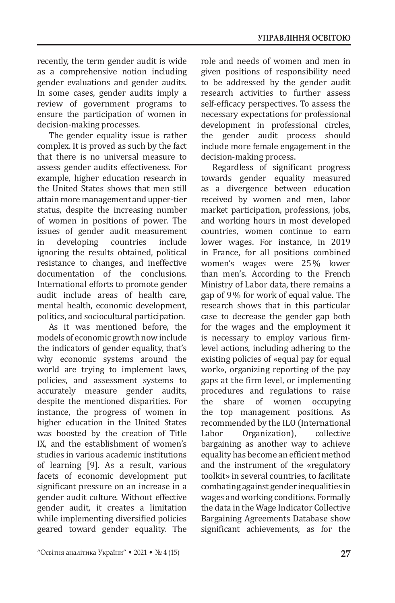recently, the term gender audit is wide as a comprehensive notion including gender evaluations and gender audits. In some cases, gender audits imply a review of government programs to ensure the participation of women in decision-making processes.

The gender equality issue is rather complex. It is proved as such by the fact that there is no universal measure to assess gender audits effectiveness. For example, higher education research in the United States shows that men still attain more management and upper-tier status, despite the increasing number of women in positions of power. The issues of gender audit measurement<br>in developing countries include in developing countries include ignoring the results obtained, political resistance to changes, and ineffective documentation of the conclusions. International efforts to promote gender audit include areas of health care, mental health, economic development, politics, and sociocultural participation.

As it was mentioned before, the models of economic growth now include the indicators of gender equality, that's why economic systems around the world are trying to implement laws, policies, and assessment systems to accurately measure gender audits, despite the mentioned disparities. For instance, the progress of women in higher education in the United States was boosted by the creation of Title IX, and the establishment of women's studies in various academic institutions of learning [9]. As a result, various facets of economic development put significant pressure on an increase in a gender audit culture. Without effective gender audit, it creates a limitation while implementing diversified policies geared toward gender equality. The

role and needs of women and men in given positions of responsibility need to be addressed by the gender audit research activities to further assess self-efficacy perspectives. To assess the necessary expectations for professional development in professional circles, the gender audit process should include more female engagement in the decision-making process.

Regardless of significant progress towards gender equality measured as a divergence between education received by women and men, labor market participation, professions, jobs, and working hours in most developed countries, women continue to earn lower wages. For instance, in 2019 in France, for all positions combined women's wages were 25 % lower than men's. According to the French Ministry of Labor data, there remains a gap of 9 % for work of equal value. The research shows that in this particular case to decrease the gender gap both for the wages and the employment it is necessary to employ various firmlevel actions, including adhering to the existing policies of «equal pay for equal work», organizing reporting of the pay gaps at the firm level, or implementing procedures and regulations to raise<br>the share of women occupying of women occupying the top management positions. As recommended by the ILO (International<br>Labor Organization). collective Organization), bargaining as another way to achieve equality has become an efficient method and the instrument of the «regulatory toolkit» in several countries, to facilitate combating against gender inequalities in wages and working conditions. Formally the data in the Wage Indicator Collective Bargaining Agreements Database show significant achievements, as for the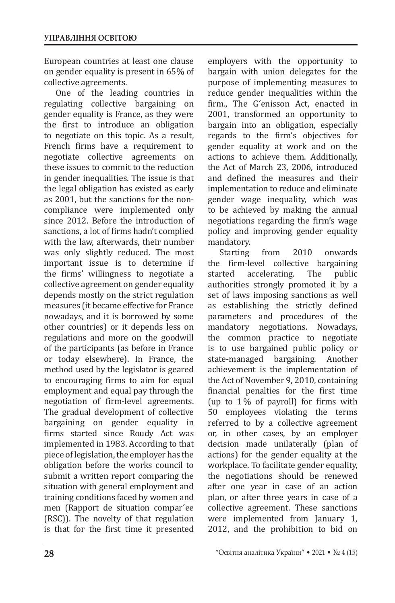European countries at least one clause on gender equality is present in 65% of collective agreements.

One of the leading countries in regulating collective bargaining on gender equality is France, as they were the first to introduce an obligation to negotiate on this topic. As a result, French firms have a requirement to negotiate collective agreements on these issues to commit to the reduction in gender inequalities. The issue is that the legal obligation has existed as early as 2001, but the sanctions for the noncompliance were implemented only since 2012. Before the introduction of sanctions, a lot of firms hadn't complied with the law, afterwards, their number was only slightly reduced. The most important issue is to determine if the firms' willingness to negotiate a collective agreement on gender equality depends mostly on the strict regulation measures (it became effective for France nowadays, and it is borrowed by some other countries) or it depends less on regulations and more on the goodwill of the participants (as before in France or today elsewhere). In France, the method used by the legislator is geared to encouraging firms to aim for equal employment and equal pay through the negotiation of firm-level agreements. The gradual development of collective bargaining on gender equality in firms started since Roudy Act was implemented in 1983. According to that piece of legislation, the employer has the obligation before the works council to submit a written report comparing the situation with general employment and training conditions faced by women and men (Rapport de situation compar´ee (RSC)). The novelty of that regulation is that for the first time it presented

employers with the opportunity to bargain with union delegates for the purpose of implementing measures to reduce gender inequalities within the firm., The G´enisson Act, enacted in 2001, transformed an opportunity to bargain into an obligation, especially regards to the firm's objectives for gender equality at work and on the actions to achieve them. Additionally, the Act of March 23, 2006, introduced and defined the measures and their implementation to reduce and eliminate gender wage inequality, which was to be achieved by making the annual negotiations regarding the firm's wage policy and improving gender equality mandatory.<br>Starting

Starting from 2010 onwards<br>the firm-level collective bargaining the firm-level collective bargaining<br>started accelerating. The public accelerating. authorities strongly promoted it by a set of laws imposing sanctions as well as establishing the strictly defined parameters and procedures of the mandatory negotiations. Nowadays, the common practice to negotiate is to use bargained public policy or<br>state-managed bargaining. Another state-managed achievement is the implementation of the Act of November 9, 2010, containing financial penalties for the first time (up to 1 % of payroll) for firms with 50 employees violating the terms referred to by a collective agreement or, in other cases, by an employer decision made unilaterally (plan of actions) for the gender equality at the workplace. To facilitate gender equality, the negotiations should be renewed after one year in case of an action plan, or after three years in case of a collective agreement. These sanctions were implemented from January 1, 2012, and the prohibition to bid on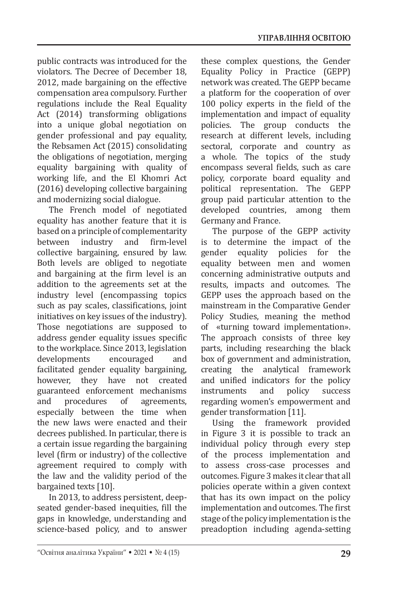public contracts was introduced for the violators. The Decree of December 18, 2012, made bargaining on the effective compensation area compulsory. Further regulations include the Real Equality Act (2014) transforming obligations into a unique global negotiation on gender professional and pay equality, the Rebsamen Act (2015) consolidating the obligations of negotiation, merging equality bargaining with quality of working life, and the El Khomri Act (2016) developing collective bargaining and modernizing social dialogue.

The French model of negotiated equality has another feature that it is based on a principle of complementarity<br>between industry and firm-level between industry and firm-level collective bargaining, ensured by law. Both levels are obliged to negotiate and bargaining at the firm level is an addition to the agreements set at the industry level (encompassing topics such as pay scales, classifications, joint initiatives on key issues of the industry). Those negotiations are supposed to address gender equality issues specific to the workplace. Since 2013, legislation<br>developments encouraged and developments facilitated gender equality bargaining, however, they have not created guaranteed enforcement mechanisms<br>and procedures of agreements, agreements, especially between the time when the new laws were enacted and their decrees published. In particular, there is a certain issue regarding the bargaining level (firm or industry) of the collective agreement required to comply with the law and the validity period of the bargained texts [10].

In 2013, to address persistent, deepseated gender-based inequities, fill the gaps in knowledge, understanding and science-based policy, and to answer

these complex questions, the Gender Equality Policy in Practice (GEPP) network was created. The GEPP became a platform for the cooperation of over 100 policy experts in the field of the implementation and impact of equality policies. The group conducts the research at different levels, including sectoral, corporate and country as a whole. The topics of the study encompass several fields, such as care policy, corporate board equality and political representation. The GEPP group paid particular attention to the developed countries, among them Germany and France.

The purpose of the GEPP activity is to determine the impact of the<br>gender equality policies for the equality policies for the equality between men and women concerning administrative outputs and results, impacts and outcomes. The GEPP uses the approach based on the mainstream in the Comparative Gender Policy Studies, meaning the method of «turning toward implementation». The approach consists of three key parts, including researching the black box of government and administration, creating the analytical framework and unified indicators for the policy<br>instruments and policy success instruments regarding women's empowerment and gender transformation [11].

Using the framework provided in Figure 3 it is possible to track an individual policy through every step of the process implementation and to assess cross-case processes and outcomes. Figure 3 makes it clear that all policies operate within a given context that has its own impact on the policy implementation and outcomes. The first stage of the policy implementation is the preadoption including agenda-setting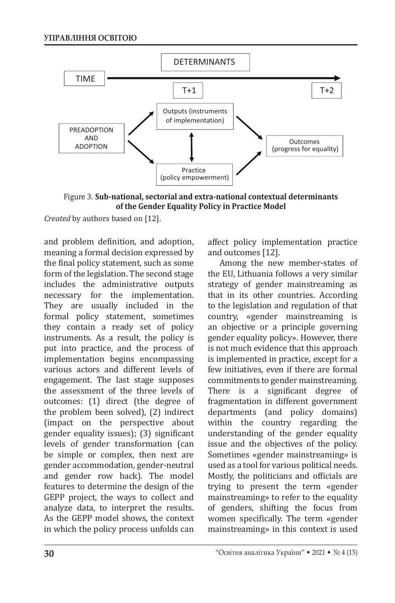

Figure 3. **Sub-national, sectorial and extra-national contextual determinants of the Gender Equality Policy in Practice Model**

*Created* by authors based on [12].

and problem definition, and adoption, meaning a formal decision expressed by the final policy statement, such as some form of the legislation. The second stage includes the administrative outputs necessary for the implementation. They are usually included in the formal policy statement, sometimes they contain a ready set of policy instruments. As a result, the policy is put into practice, and the process of implementation begins encompassing various actors and different levels of engagement. The last stage supposes the assessment of the three levels of outcomes: (1) direct (the degree of the problem been solved), (2) indirect (impact on the perspective about gender equality issues); (3) significant levels of gender transformation (can be simple or complex, then next are gender accommodation, gender-neutral and gender row back). The model features to determine the design of the GEPP project, the ways to collect and analyze data, to interpret the results. As the GEPP model shows, the context in which the policy process unfolds can

affect policy implementation practice and outcomes [12].

Among the new member-states of the EU, Lithuania follows a very similar strategy of gender mainstreaming as that in its other countries. According to the legislation and regulation of that country, «gender mainstreaming is an objective or a principle governing gender equality policy». However, there is not much evidence that this approach is implemented in practice, except for a few initiatives, even if there are formal commitments to gender mainstreaming. There is a significant degree of fragmentation in different government departments (and policy domains) within the country regarding the understanding of the gender equality issue and the objectives of the policy. Sometimes «gender mainstreaming» is used as a tool for various political needs. Mostly, the politicians and officials are trying to present the term «gender mainstreaming» to refer to the equality of genders, shifting the focus from women specifically. The term «gender mainstreaming» in this context is used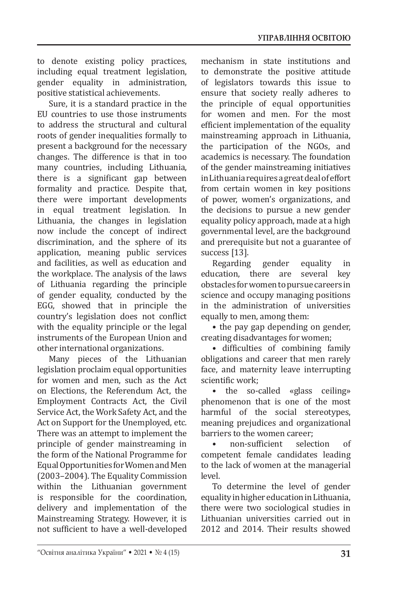to denote existing policy practices, including equal treatment legislation, gender equality in administration, positive statistical achievements.

Sure, it is a standard practice in the EU countries to use those instruments to address the structural and cultural roots of gender inequalities formally to present a background for the necessary changes. The difference is that in too many countries, including Lithuania, there is a significant gap between formality and practice. Despite that, there were important developments in equal treatment legislation. In Lithuania, the changes in legislation now include the concept of indirect discrimination, and the sphere of its application, meaning public services and facilities, as well as education and the workplace. The analysis of the laws of Lithuania regarding the principle of gender equality, conducted by the EGG, showed that in principle the country's legislation does not conflict with the equality principle or the legal instruments of the European Union and other international organizations.

Many pieces of the Lithuanian legislation proclaim equal opportunities for women and men, such as the Act on Elections, the Referendum Act, the Employment Contracts Act, the Civil Service Act, the Work Safety Act, and the Act on Support for the Unemployed, etc. There was an attempt to implement the principle of gender mainstreaming in the form of the National Programme for Equal Opportunities for Women and Men (2003–2004). The Equality Commission within the Lithuanian government is responsible for the coordination, delivery and implementation of the Mainstreaming Strategy. However, it is not sufficient to have a well-developed mechanism in state institutions and to demonstrate the positive attitude of legislators towards this issue to ensure that society really adheres to the principle of equal opportunities for women and men. For the most efficient implementation of the equality mainstreaming approach in Lithuania, the participation of the NGOs, and academics is necessary. The foundation of the gender mainstreaming initiatives in Lithuania requires a great deal of effort from certain women in key positions of power, women's organizations, and the decisions to pursue a new gender equality policy approach, made at a high governmental level, are the background and prerequisite but not a guarantee of success [13].

Regarding gender equality in<br>ucation, there are several key education, there are obstacles for women to pursue careers in science and occupy managing positions in the administration of universities equally to men, among them:

• the pay gap depending on gender, creating disadvantages for women;

• difficulties of combining family obligations and career that men rarely face, and maternity leave interrupting scientific work;

• the so-called «glass ceiling» phenomenon that is one of the most harmful of the social stereotypes, meaning prejudices and organizational barriers to the women career;<br>• non-sufficient selection

• non-sufficient selection of competent female candidates leading to the lack of women at the managerial level.

To determine the level of gender equality in higher education in Lithuania, there were two sociological studies in Lithuanian universities carried out in 2012 and 2014. Their results showed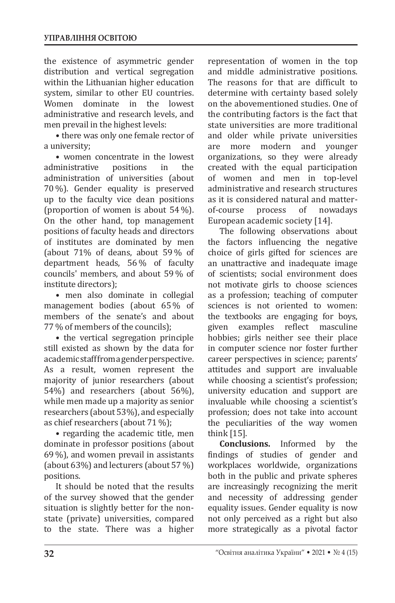the existence of asymmetric gender distribution and vertical segregation within the Lithuanian higher education system, similar to other EU countries.<br>Women dominate in the lowest Women dominate in the administrative and research levels, and men prevail in the highest levels:

• there was only one female rector of a university;

• women concentrate in the lowest<br>ministrative positions in the administrative administration of universities (about 70 %). Gender equality is preserved up to the faculty vice dean positions (proportion of women is about 54 %). On the other hand, top management positions of faculty heads and directors of institutes are dominated by men (about 71% of deans, about 59 % of department heads, 56 % of faculty councils' members, and about 59 % of institute directors);

• men also dominate in collegial management bodies (about 65 % of members of the senate's and about 77 % of members of the councils);

• the vertical segregation principle still existed as shown by the data for academic staff from a gender perspective. As a result, women represent the majority of junior researchers (about 54%) and researchers (about 56%), while men made up a majority as senior researchers (about 53%), and especially as chief researchers (about 71 %);

• regarding the academic title, men dominate in professor positions (about 69 %), and women prevail in assistants (about 63%) and lecturers (about 57 %) positions.

It should be noted that the results of the survey showed that the gender situation is slightly better for the nonstate (private) universities, compared to the state. There was a higher representation of women in the top and middle administrative positions. The reasons for that are difficult to determine with certainty based solely on the abovementioned studies. One of the contributing factors is the fact that state universities are more traditional and older while private universities<br>are more modern and younger more modern and organizations, so they were already created with the equal participation of women and men in top-level administrative and research structures as it is considered natural and matternowadays European academic society [14].

The following observations about the factors influencing the negative choice of girls gifted for sciences are an unattractive and inadequate image of scientists; social environment does not motivate girls to choose sciences as a profession; teaching of computer sciences is not oriented to women: the textbooks are engaging for boys,<br>given examples reflect masculine reflect masculine hobbies; girls neither see their place in computer science nor foster further career perspectives in science; parents' attitudes and support are invaluable while choosing a scientist's profession; university education and support are invaluable while choosing a scientist's profession; does not take into account the peculiarities of the way women think [15].

**Conclusions.** Informed by the findings of studies of gender and workplaces worldwide, organizations both in the public and private spheres are increasingly recognizing the merit and necessity of addressing gender equality issues. Gender equality is now not only perceived as a right but also more strategically as a pivotal factor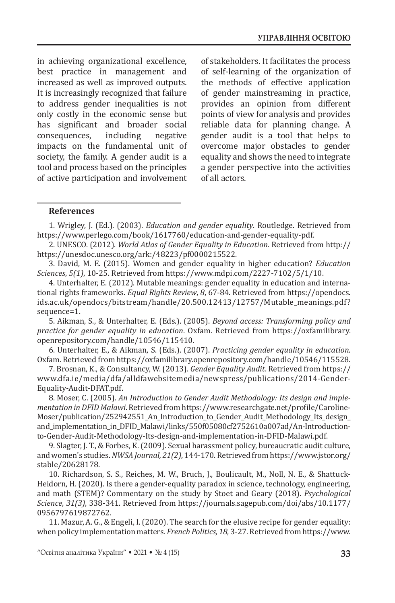in achieving organizational excellence, best practice in management and increased as well as improved outputs. It is increasingly recognized that failure to address gender inequalities is not only costly in the economic sense but has significant and broader social<br>consequences, including negative consequences, impacts on the fundamental unit of society, the family. A gender audit is a tool and process based on the principles of active participation and involvement of stakeholders. It facilitates the process of self-learning of the organization of the methods of effective application of gender mainstreaming in practice, provides an opinion from different points of view for analysis and provides reliable data for planning change. A gender audit is a tool that helps to overcome major obstacles to gender equality and shows the need to integrate a gender perspective into the activities of all actors.

#### **References**

1. Wrigley, J. (Ed.). (2003). *Education and gender equality*. Routledge. Retrieved from https://www.perlego.com/book/1617760/education-and-gender-equality-pdf.

2. UNESCO. (2012). *World Atlas of Gender Equality in Education*. Retrieved from http:// https://unesdoc.unesco.org/ark:/48223/pf0000215522.

3. David, M. E. (2015). Women and gender equality in higher education? *Education Sciences*, *5(1)*, 10-25. Retrieved from https://www.mdpi.com/2227-7102/5/1/10.

4. Unterhalter, E. (2012). Mutable meanings: gender equality in education and international rights frameworks. *Equal Rights Review*, *8*, 67-84. Retrieved from https://opendocs. ids.ac.uk/opendocs/bitstream/handle/20.500.12413/12757/Mutable\_meanings.pdf? sequence=1.

5. Aikman, S., & Unterhalter, E. (Eds.). (2005). *Beyond access: Transforming policy and practice for gender equality in education*. Oxfam. Retrieved from https://oxfamilibrary. openrepository.com/handle/10546/115410.

6. Unterhalter, E., & Aikman, S. (Eds.). (2007). *Practicing gender equality in education*. Oxfam. Retrieved from https://oxfamilibrary.openrepository.com/handle/10546/115528.

7. Brosnan, K., & Consultancy, W. (2013). *Gender Equality Audit*. Retrieved from https:// www.dfa.ie/media/dfa/alldfawebsitemedia/newspress/publications/2014-Gender-Equality-Audit-DFAT.pdf.

8. Moser, C. (2005). *An Introduction to Gender Audit Methodology: Its design and implementation in DFID Malawi*. Retrieved from https://www.researchgate.net/profile/Caroline-Moser/publication/252942551\_An\_Introduction\_to\_Gender\_Audit\_Methodology\_Its\_design\_ and\_implementation\_in\_DFID\_Malawi/links/550f05080cf2752610a007ad/An-Introductionto-Gender-Audit-Methodology-Its-design-and-implementation-in-DFID-Malawi.pdf.

9. Slagter, J. T., & Forbes, K. (2009). Sexual harassment policy, bureaucratic audit culture, and women's studies.*NWSA Journal, 21(2)*, 144-170. Retrieved from https://www.jstor.org/ stable/20628178.

10. Richardson, S. S., Reiches, M. W., Bruch, J., Boulicault, M., Noll, N. E., & Shattuck-Heidorn, H. (2020). Is there a gender-equality paradox in science, technology, engineering, and math (STEM)? Commentary on the study by Stoet and Geary (2018). *Psychological Science*, *31(3)*, 338-341. Retrieved from https://journals.sagepub.com/doi/abs/10.1177/ 0956797619872762.

11. Mazur, A. G., & Engeli, I. (2020). The search for the elusive recipe for gender equality: when policy implementation matters. *French Politics, 18*, 3-27. Retrieved from https://www.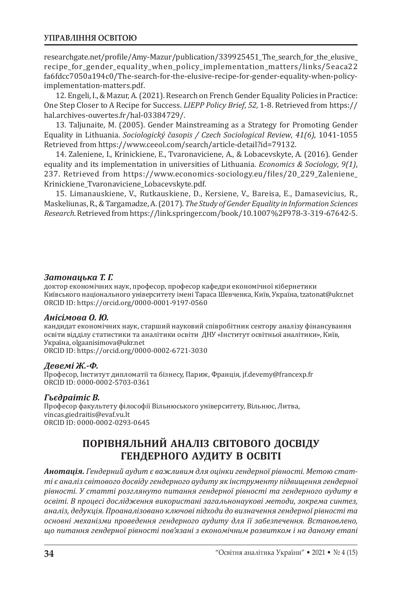## **УПРАВЛІННЯ ОСВІТОЮ**

researchgate.net/profile/Amy-Mazur/publication/339925451\_The\_search\_for\_the\_elusive\_ recipe\_for\_gender\_equality\_when\_policy\_implementation\_matters/links/5eaca22 fa6fdcc7050a194c0/The-search-for-the-elusive-recipe-for-gender-equality-when-policyimplementation-matters.pdf.

12. Engeli, I., & Mazur, A. (2021). Research on French Gender Equality Policies in Practice: One Step Closer to A Recipe for Success. *LIEPP Policy Brief*, *52,* 1-8. Retrieved from https:// hal.archives-ouvertes.fr/hal-03384729/.

13. Taljunaite, M. (2005). Gender Mainstreaming as a Strategy for Promoting Gender Equality in Lithuania. *Sociologický časopis / Czech Sociological Review*, *41(6)*, 1041-1055 Retrieved from https://www.ceeol.com/search/article-detail?id=79132.

14. Zaleniene, I., Krinickiene, E., Tvaronaviciene, A., & Lobacevskyte, A. (2016). Gender equality and its implementation in universities of Lithuania. *Economics & Sociology*, *9(1)*, 237. Retrieved from https://www.economics-sociology.eu/files/20\_229\_Zaleniene\_ Krinickiene\_Tvaronaviciene\_Lobacevskyte.pdf.

15. Limanauskiene, V., Rutkauskiene, D., Kersiene, V., Bareisa, E., Damasevicius, R., Maskeliunas, R., & Targamadze, A. (2017). *The Study of Gender Equality in Information Sciences Research*. Retrieved from https://link.springer.com/book/10.1007%2F978-3-319-67642-5.

## *Затонацька Т. Г.*

доктор економічних наук, професор, професор кафедри економічної кібернетики Київського національного університету імені Тараса Шевченка, Київ, Україна, tzatonat@ukr.net ORCID ID: https://orcid.org/0000-0001-9197-0560

#### *Анісімова О. Ю.*

кандидат економічних наук, старший науковий співробітник сектору аналізу фінансування освіти відділу статистики та аналітики освіти ДНУ «Інститут освітньої аналітики», Київ, Україна, olgaanisimova@ukr.net ORCID ID: https://orcid.org/0000-0002-6721-3030

## *Девемі Ж.-Ф.*

Професор, Інститут дипломатії та бізнесу, Париж, Франція, jf.devemy@francexp.fr ORCID ID: 0000-0002-5703-0361

## *Гьєдраітіс В.*

Професор факультету філософії Вільнюського університету, Вільнюс, Литва, vincas.giedraitis@evaf.vu.lt ORCID ID: 0000-0002-0293-0645

# **ПОРІВНЯЛЬНИЙ АНАЛІЗ СВІТОВОГО ДОСВІДУ ГЕНДЕРНОГО АУДИТУ В ОСВІТІ**

*Анотація. Гендерний аудит є важливим для оцінки гендерної рівності. Метою статті є аналіз світового досвіду гендерного аудиту як інструменту підвищення гендерної рівності. У статті розглянуто питання гендерної рівності та гендерного аудиту в освіті. В процесі дослідження використані загальнонаукові методи, зокрема синтез, аналіз, дедукція. Проаналізовано ключові підходи до визначення гендерної рівності та основні механізми проведення гендерного аудиту для її забезпечення. Встановлено, що питання гендерної рівності пов'язані з економічним розвитком і на даному етапі*